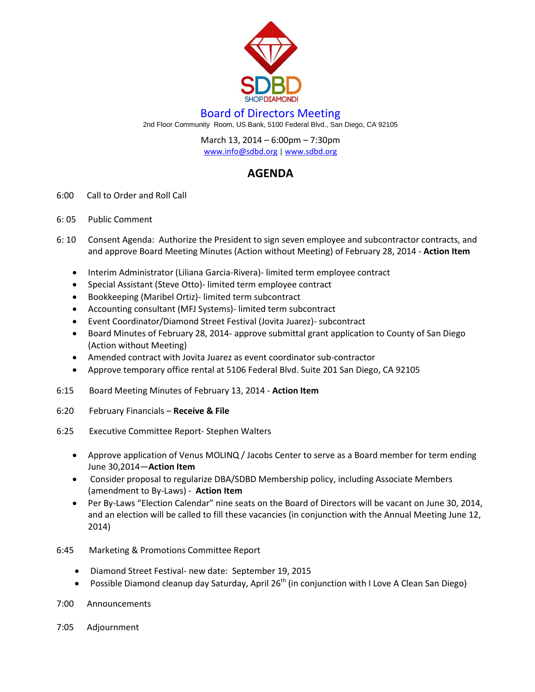

## Board of Directors Meeting

2nd Floor Community Room, US Bank, 5100 Federal Blvd., San Diego, CA 92105

March 13, 2014 – 6:00pm – 7:30pm [www.info@sdbd.org](about:blank) | [www.sdbd.org](http://www.sdbd.org/)

## **AGENDA**

- 6:00 Call to Order and Roll Call
- 6: 05 Public Comment
- 6: 10 Consent Agenda: Authorize the President to sign seven employee and subcontractor contracts, and and approve Board Meeting Minutes (Action without Meeting) of February 28, 2014 - **Action Item**
	- Interim Administrator (Liliana Garcia-Rivera)- limited term employee contract
	- Special Assistant (Steve Otto)- limited term employee contract
	- Bookkeeping (Maribel Ortiz)- limited term subcontract
	- Accounting consultant (MFJ Systems)- limited term subcontract
	- Event Coordinator/Diamond Street Festival (Jovita Juarez)- subcontract
	- Board Minutes of February 28, 2014- approve submittal grant application to County of San Diego (Action without Meeting)
	- Amended contract with Jovita Juarez as event coordinator sub-contractor
	- Approve temporary office rental at 5106 Federal Blvd. Suite 201 San Diego, CA 92105
- 6:15 Board Meeting Minutes of February 13, 2014 **Action Item**
- 6:20 February Financials **Receive & File**
- 6:25 Executive Committee Report- Stephen Walters
	- Approve application of Venus MOLINQ / Jacobs Center to serve as a Board member for term ending June 30,2014—**Action Item**
	- Consider proposal to regularize DBA/SDBD Membership policy, including Associate Members (amendment to By-Laws) - **Action Item**
	- Per By-Laws "Election Calendar" nine seats on the Board of Directors will be vacant on June 30, 2014, and an election will be called to fill these vacancies (in conjunction with the Annual Meeting June 12, 2014)
- 6:45 Marketing & Promotions Committee Report
	- Diamond Street Festival- new date: September 19, 2015
	- **•** Possible Diamond cleanup day Saturday, April 26<sup>th</sup> (in conjunction with I Love A Clean San Diego)
- 7:00 Announcements
- 7:05 Adjournment